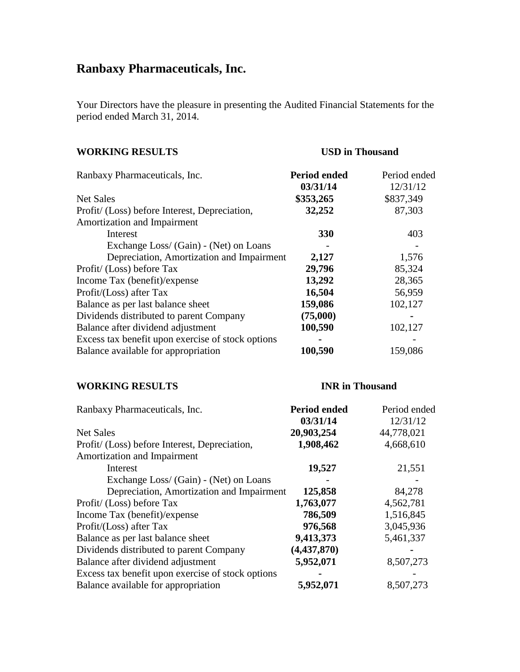# **Ranbaxy Pharmaceuticals, Inc.**

Your Directors have the pleasure in presenting the Audited Financial Statements for the period ended March 31, 2014.

| <b>WORKING RESULTS</b>                            | <b>USD</b> in Thousand |              |
|---------------------------------------------------|------------------------|--------------|
| Ranbaxy Pharmaceuticals, Inc.                     | Period ended           | Period ended |
|                                                   | 03/31/14               | 12/31/12     |
| Net Sales                                         | \$353,265              | \$837,349    |
| Profit/ (Loss) before Interest, Depreciation,     | 32,252                 | 87,303       |
| Amortization and Impairment                       |                        |              |
| Interest                                          | 330                    | 403          |
| Exchange Loss/ (Gain) - (Net) on Loans            |                        |              |
| Depreciation, Amortization and Impairment         | 2,127                  | 1,576        |
| Profit/ (Loss) before Tax                         | 29,796                 | 85,324       |
| Income Tax (benefit)/expense                      | 13,292                 | 28,365       |
| Profit/(Loss) after Tax                           | 16,504                 | 56,959       |
| Balance as per last balance sheet                 | 159,086                | 102,127      |
| Dividends distributed to parent Company           | (75,000)               |              |
| Balance after dividend adjustment                 | 100,590                | 102,127      |
| Excess tax benefit upon exercise of stock options |                        |              |
| Balance available for appropriation               | 100,590                | 159,086      |

# **WORKING RESULTS INR in Thousand**

| Ranbaxy Pharmaceuticals, Inc.                     | <b>Period ended</b> | Period ended |
|---------------------------------------------------|---------------------|--------------|
|                                                   | 03/31/14            | 12/31/12     |
| <b>Net Sales</b>                                  | 20,903,254          | 44,778,021   |
| Profit/ (Loss) before Interest, Depreciation,     | 1,908,462           | 4,668,610    |
| Amortization and Impairment                       |                     |              |
| Interest                                          | 19,527              | 21,551       |
| Exchange Loss/ (Gain) - (Net) on Loans            |                     |              |
| Depreciation, Amortization and Impairment         | 125,858             | 84,278       |
| Profit/ (Loss) before Tax                         | 1,763,077           | 4,562,781    |
| Income Tax (benefit)/expense                      | 786,509             | 1,516,845    |
| Profit/(Loss) after Tax                           | 976,568             | 3,045,936    |
| Balance as per last balance sheet                 | 9,413,373           | 5,461,337    |
| Dividends distributed to parent Company           | (4, 437, 870)       |              |
| Balance after dividend adjustment                 | 5,952,071           | 8,507,273    |
| Excess tax benefit upon exercise of stock options |                     |              |
| Balance available for appropriation               | 5,952,071           | 8,507,273    |
|                                                   |                     |              |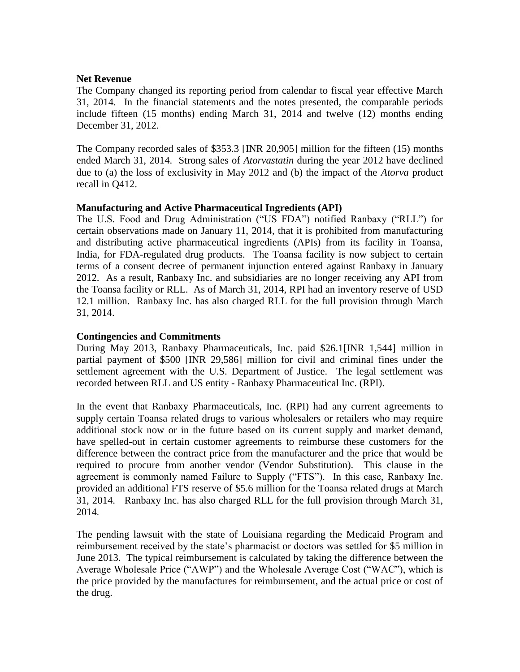# **Net Revenue**

The Company changed its reporting period from calendar to fiscal year effective March 31, 2014. In the financial statements and the notes presented, the comparable periods include fifteen (15 months) ending March 31, 2014 and twelve (12) months ending December 31, 2012.

The Company recorded sales of \$353.3 [INR 20,905] million for the fifteen (15) months ended March 31, 2014. Strong sales of *Atorvastatin* during the year 2012 have declined due to (a) the loss of exclusivity in May 2012 and (b) the impact of the *Atorva* product recall in Q412.

# **Manufacturing and Active Pharmaceutical Ingredients (API)**

The U.S. Food and Drug Administration ("US FDA") notified Ranbaxy ("RLL") for certain observations made on January 11, 2014, that it is prohibited from manufacturing and distributing active pharmaceutical ingredients (APIs) from its facility in Toansa, India, for FDA-regulated drug products. The Toansa facility is now subject to certain terms of a consent decree of permanent injunction entered against Ranbaxy in January 2012. As a result, Ranbaxy Inc. and subsidiaries are no longer receiving any API from the Toansa facility or RLL. As of March 31, 2014, RPI had an inventory reserve of USD 12.1 million. Ranbaxy Inc. has also charged RLL for the full provision through March 31, 2014.

# **Contingencies and Commitments**

During May 2013, Ranbaxy Pharmaceuticals, Inc. paid \$26.1[INR 1,544] million in partial payment of \$500 [INR 29,586] million for civil and criminal fines under the settlement agreement with the U.S. Department of Justice. The legal settlement was recorded between RLL and US entity - Ranbaxy Pharmaceutical Inc. (RPI).

In the event that Ranbaxy Pharmaceuticals, Inc. (RPI) had any current agreements to supply certain Toansa related drugs to various wholesalers or retailers who may require additional stock now or in the future based on its current supply and market demand, have spelled-out in certain customer agreements to reimburse these customers for the difference between the contract price from the manufacturer and the price that would be required to procure from another vendor (Vendor Substitution). This clause in the agreement is commonly named Failure to Supply ("FTS"). In this case, Ranbaxy Inc. provided an additional FTS reserve of \$5.6 million for the Toansa related drugs at March 31, 2014. Ranbaxy Inc. has also charged RLL for the full provision through March 31, 2014.

The pending lawsuit with the state of Louisiana regarding the Medicaid Program and reimbursement received by the state's pharmacist or doctors was settled for \$5 million in June 2013. The typical reimbursement is calculated by taking the difference between the Average Wholesale Price ("AWP") and the Wholesale Average Cost ("WAC"), which is the price provided by the manufactures for reimbursement, and the actual price or cost of the drug.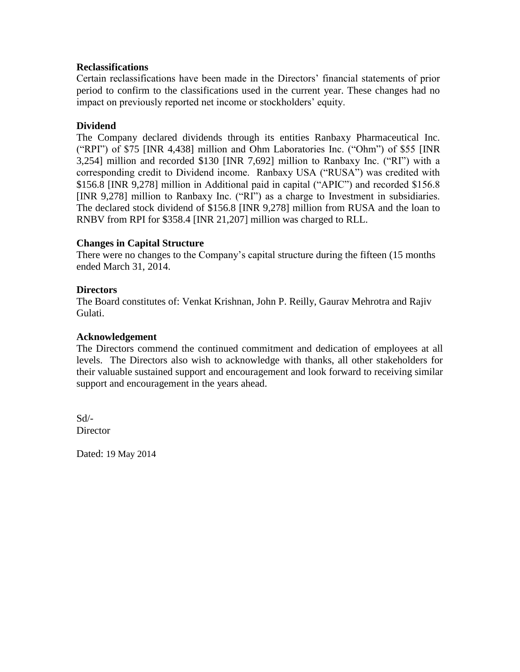# **Reclassifications**

Certain reclassifications have been made in the Directors' financial statements of prior period to confirm to the classifications used in the current year. These changes had no impact on previously reported net income or stockholders' equity.

# **Dividend**

The Company declared dividends through its entities Ranbaxy Pharmaceutical Inc. ("RPI") of \$75 [INR 4,438] million and Ohm Laboratories Inc. ("Ohm") of \$55 [INR 3,254] million and recorded \$130 [INR 7,692] million to Ranbaxy Inc. ("RI") with a corresponding credit to Dividend income. Ranbaxy USA ("RUSA") was credited with \$156.8 [INR 9,278] million in Additional paid in capital ("APIC") and recorded \$156.8 [INR 9,278] million to Ranbaxy Inc. ("RI") as a charge to Investment in subsidiaries. The declared stock dividend of \$156.8 [INR 9,278] million from RUSA and the loan to RNBV from RPI for \$358.4 [INR 21,207] million was charged to RLL.

# **Changes in Capital Structure**

There were no changes to the Company's capital structure during the fifteen (15 months ended March 31, 2014.

# **Directors**

The Board constitutes of: Venkat Krishnan, John P. Reilly, Gaurav Mehrotra and Rajiv Gulati.

# **Acknowledgement**

The Directors commend the continued commitment and dedication of employees at all levels. The Directors also wish to acknowledge with thanks, all other stakeholders for their valuable sustained support and encouragement and look forward to receiving similar support and encouragement in the years ahead.

Sd/- **Director** 

Dated: 19 May 2014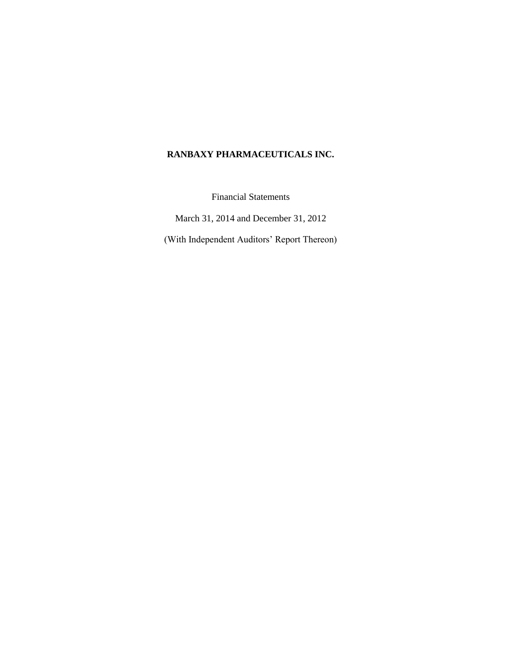# **RANBAXY PHARMACEUTICALS INC.**

Financial Statements

March 31, 2014 and December 31, 2012

(With Independent Auditors" Report Thereon)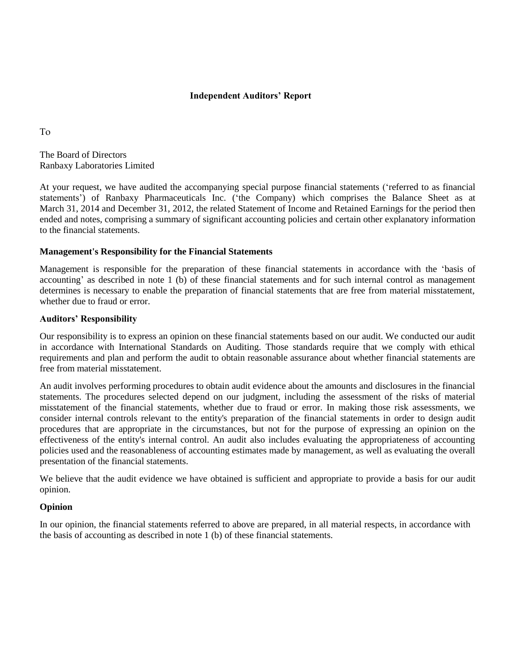#### **Independent Auditors' Report**

To

The Board of Directors Ranbaxy Laboratories Limited

At your request, we have audited the accompanying special purpose financial statements ("referred to as financial statements") of Ranbaxy Pharmaceuticals Inc. ("the Company) which comprises the Balance Sheet as at March 31, 2014 and December 31, 2012, the related Statement of Income and Retained Earnings for the period then ended and notes, comprising a summary of significant accounting policies and certain other explanatory information to the financial statements.

#### **Management's Responsibility for the Financial Statements**

Management is responsible for the preparation of these financial statements in accordance with the "basis of accounting" as described in note 1 (b) of these financial statements and for such internal control as management determines is necessary to enable the preparation of financial statements that are free from material misstatement, whether due to fraud or error.

#### **Auditors' Responsibility**

Our responsibility is to express an opinion on these financial statements based on our audit. We conducted our audit in accordance with International Standards on Auditing. Those standards require that we comply with ethical requirements and plan and perform the audit to obtain reasonable assurance about whether financial statements are free from material misstatement.

An audit involves performing procedures to obtain audit evidence about the amounts and disclosures in the financial statements. The procedures selected depend on our judgment, including the assessment of the risks of material misstatement of the financial statements, whether due to fraud or error. In making those risk assessments, we consider internal controls relevant to the entity's preparation of the financial statements in order to design audit procedures that are appropriate in the circumstances, but not for the purpose of expressing an opinion on the effectiveness of the entity's internal control. An audit also includes evaluating the appropriateness of accounting policies used and the reasonableness of accounting estimates made by management, as well as evaluating the overall presentation of the financial statements.

We believe that the audit evidence we have obtained is sufficient and appropriate to provide a basis for our audit opinion.

#### **Opinion**

In our opinion, the financial statements referred to above are prepared, in all material respects, in accordance with the basis of accounting as described in note 1 (b) of these financial statements.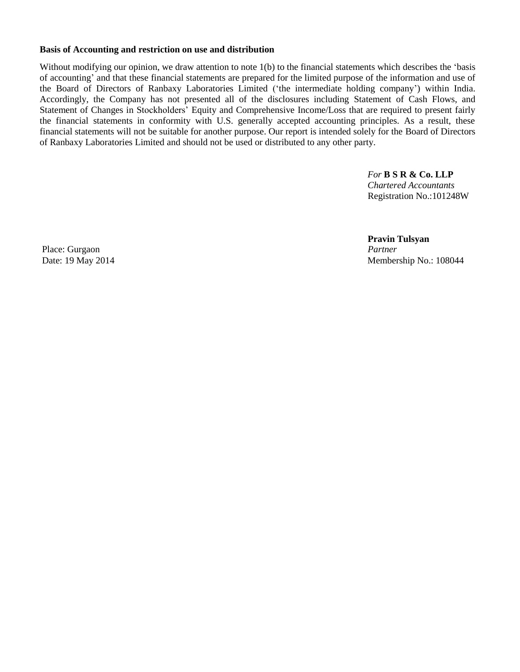#### **Basis of Accounting and restriction on use and distribution**

Without modifying our opinion, we draw attention to note 1(b) to the financial statements which describes the 'basis of accounting" and that these financial statements are prepared for the limited purpose of the information and use of the Board of Directors of Ranbaxy Laboratories Limited ("the intermediate holding company") within India. Accordingly, the Company has not presented all of the disclosures including Statement of Cash Flows, and Statement of Changes in Stockholders' Equity and Comprehensive Income/Loss that are required to present fairly the financial statements in conformity with U.S. generally accepted accounting principles. As a result, these financial statements will not be suitable for another purpose. Our report is intended solely for the Board of Directors of Ranbaxy Laboratories Limited and should not be used or distributed to any other party.

> *For* **B S R & Co. LLP** *Chartered Accountants* Registration No.:101248W

 **Pravin Tulsyan** Date: 19 May 2014 Membership No.: 108044

Place: Gurgaon *Partner*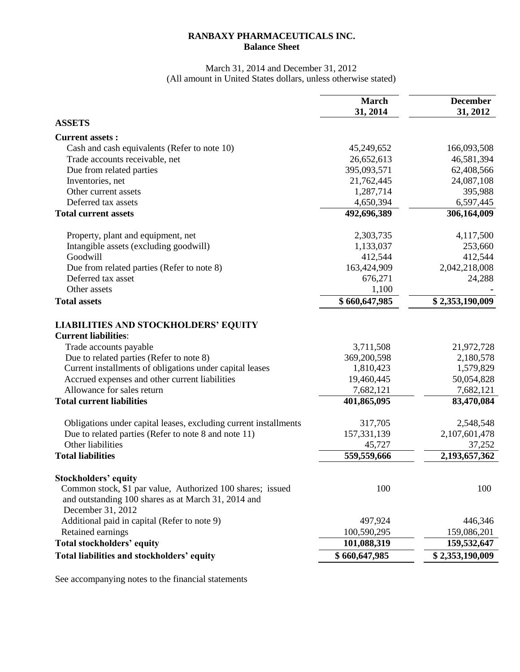# **RANBAXY PHARMACEUTICALS INC. Balance Sheet**

# March 31, 2014 and December 31, 2012 (All amount in United States dollars, unless otherwise stated)

|                                                                                                                                                                       | <b>March</b>  | <b>December</b> |
|-----------------------------------------------------------------------------------------------------------------------------------------------------------------------|---------------|-----------------|
|                                                                                                                                                                       | 31, 2014      | 31, 2012        |
| <b>ASSETS</b>                                                                                                                                                         |               |                 |
| <b>Current assets:</b>                                                                                                                                                |               |                 |
| Cash and cash equivalents (Refer to note 10)                                                                                                                          | 45,249,652    | 166,093,508     |
| Trade accounts receivable, net                                                                                                                                        | 26,652,613    | 46,581,394      |
| Due from related parties                                                                                                                                              | 395,093,571   | 62,408,566      |
| Inventories, net                                                                                                                                                      | 21,762,445    | 24,087,108      |
| Other current assets                                                                                                                                                  | 1,287,714     | 395,988         |
| Deferred tax assets                                                                                                                                                   | 4,650,394     | 6,597,445       |
| <b>Total current assets</b>                                                                                                                                           | 492,696,389   | 306,164,009     |
| Property, plant and equipment, net                                                                                                                                    | 2,303,735     | 4,117,500       |
| Intangible assets (excluding goodwill)                                                                                                                                | 1,133,037     | 253,660         |
| Goodwill                                                                                                                                                              | 412,544       | 412,544         |
| Due from related parties (Refer to note 8)                                                                                                                            | 163,424,909   | 2,042,218,008   |
| Deferred tax asset                                                                                                                                                    | 676,271       | 24,288          |
| Other assets                                                                                                                                                          | 1,100         |                 |
| <b>Total assets</b>                                                                                                                                                   | \$660,647,985 | \$2,353,190,009 |
| <b>LIABILITIES AND STOCKHOLDERS' EQUITY</b><br><b>Current liabilities:</b>                                                                                            |               |                 |
| Trade accounts payable                                                                                                                                                | 3,711,508     | 21,972,728      |
| Due to related parties (Refer to note 8)                                                                                                                              | 369,200,598   | 2,180,578       |
| Current installments of obligations under capital leases                                                                                                              | 1,810,423     | 1,579,829       |
| Accrued expenses and other current liabilities                                                                                                                        | 19,460,445    | 50,054,828      |
| Allowance for sales return                                                                                                                                            | 7,682,121     | 7,682,121       |
| <b>Total current liabilities</b>                                                                                                                                      | 401,865,095   | 83,470,084      |
| Obligations under capital leases, excluding current installments                                                                                                      | 317,705       | 2,548,548       |
| Due to related parties (Refer to note 8 and note 11)                                                                                                                  | 157,331,139   | 2,107,601,478   |
| Other liabilities                                                                                                                                                     | 45,727        | 37,252          |
| <b>Total liabilities</b>                                                                                                                                              | 559,559,666   | 2,193,657,362   |
|                                                                                                                                                                       |               |                 |
| <b>Stockholders' equity</b><br>Common stock, \$1 par value, Authorized 100 shares; issued<br>and outstanding 100 shares as at March 31, 2014 and<br>December 31, 2012 | 100           | 100             |
| Additional paid in capital (Refer to note 9)                                                                                                                          | 497,924       | 446,346         |
| Retained earnings                                                                                                                                                     | 100,590,295   | 159,086,201     |
| Total stockholders' equity                                                                                                                                            | 101,088,319   | 159,532,647     |
| Total liabilities and stockholders' equity                                                                                                                            | \$660,647,985 | \$2,353,190,009 |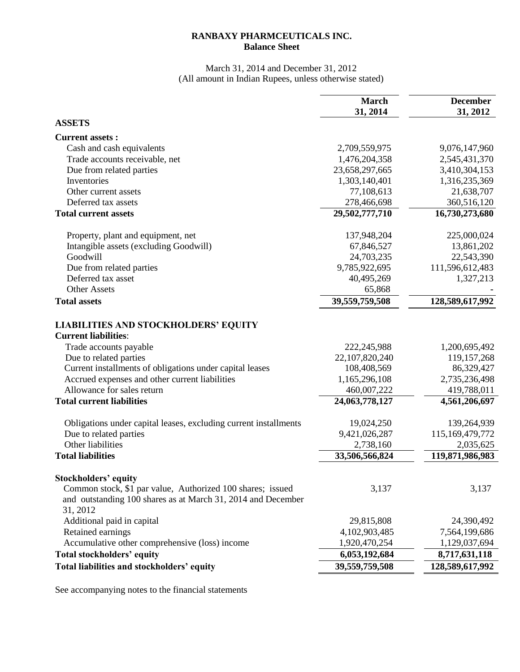# **RANBAXY PHARMCEUTICALS INC. Balance Sheet**

# March 31, 2014 and December 31, 2012 (All amount in Indian Rupees, unless otherwise stated)

|                                                                                                      | <b>March</b>   | <b>December</b> |
|------------------------------------------------------------------------------------------------------|----------------|-----------------|
|                                                                                                      | 31, 2014       | 31, 2012        |
| <b>ASSETS</b>                                                                                        |                |                 |
| <b>Current assets:</b>                                                                               |                |                 |
| Cash and cash equivalents                                                                            | 2,709,559,975  | 9,076,147,960   |
| Trade accounts receivable, net                                                                       | 1,476,204,358  | 2,545,431,370   |
| Due from related parties                                                                             | 23,658,297,665 | 3,410,304,153   |
| Inventories                                                                                          | 1,303,140,401  | 1,316,235,369   |
| Other current assets                                                                                 | 77,108,613     | 21,638,707      |
| Deferred tax assets                                                                                  | 278,466,698    | 360,516,120     |
| <b>Total current assets</b>                                                                          | 29,502,777,710 | 16,730,273,680  |
| Property, plant and equipment, net                                                                   | 137,948,204    | 225,000,024     |
| Intangible assets (excluding Goodwill)                                                               | 67,846,527     | 13,861,202      |
| Goodwill                                                                                             | 24,703,235     | 22,543,390      |
| Due from related parties                                                                             | 9,785,922,695  | 111,596,612,483 |
| Deferred tax asset                                                                                   | 40,495,269     | 1,327,213       |
| <b>Other Assets</b>                                                                                  | 65,868         |                 |
| <b>Total assets</b>                                                                                  | 39,559,759,508 | 128,589,617,992 |
| <b>LIABILITIES AND STOCKHOLDERS' EQUITY</b><br><b>Current liabilities:</b><br>Trade accounts payable | 222,245,988    | 1,200,695,492   |
| Due to related parties                                                                               | 22,107,820,240 | 119, 157, 268   |
| Current installments of obligations under capital leases                                             | 108,408,569    | 86,329,427      |
| Accrued expenses and other current liabilities                                                       | 1,165,296,108  | 2,735,236,498   |
| Allowance for sales return                                                                           | 460,007,222    | 419,788,011     |
| <b>Total current liabilities</b>                                                                     | 24,063,778,127 | 4,561,206,697   |
| Obligations under capital leases, excluding current installments                                     | 19,024,250     | 139,264,939     |
| Due to related parties                                                                               | 9,421,026,287  | 115,169,479,772 |
| Other liabilities                                                                                    | 2,738,160      | 2,035,625       |
| <b>Total liabilities</b>                                                                             | 33,506,566,824 | 119,871,986,983 |
| <b>Stockholders' equity</b><br>Common stock, \$1 par value, Authorized 100 shares; issued            | 3,137          | 3,137           |
| and outstanding 100 shares as at March 31, 2014 and December<br>31, 2012                             |                |                 |
| Additional paid in capital                                                                           | 29,815,808     | 24,390,492      |
| Retained earnings                                                                                    | 4,102,903,485  | 7,564,199,686   |
| Accumulative other comprehensive (loss) income                                                       | 1,920,470,254  | 1,129,037,694   |
| <b>Total stockholders' equity</b>                                                                    | 6,053,192,684  | 8,717,631,118   |
| Total liabilities and stockholders' equity                                                           | 39,559,759,508 | 128,589,617,992 |
|                                                                                                      |                |                 |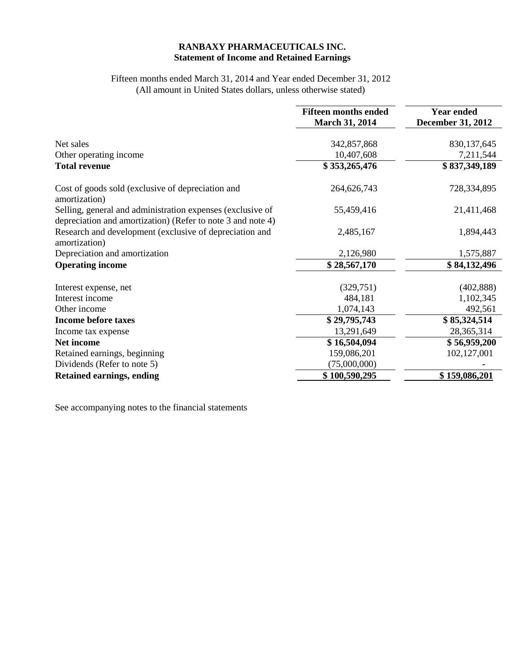# **RANBAXY PHARMACEUTICALS INC. Statement of Income and Retained Earnings**

#### Fifteen months ended March 31, 2014 and Year ended December 31, 2012 (All amount in United States dollars, unless otherwise stated)

|                                                                                                                           | <b>Fifteen months ended</b><br><b>March 31, 2014</b> | <b>Year ended</b><br><b>December 31, 2012</b> |
|---------------------------------------------------------------------------------------------------------------------------|------------------------------------------------------|-----------------------------------------------|
| Net sales                                                                                                                 | 342,857,868                                          | 830,137,645                                   |
| Other operating income                                                                                                    | 10,407,608                                           | 7,211,544                                     |
| <b>Total revenue</b>                                                                                                      | \$353,265,476                                        | \$837,349,189                                 |
| Cost of goods sold (exclusive of depreciation and<br>amortization)                                                        | 264,626,743                                          | 728,334,895                                   |
| Selling, general and administration expenses (exclusive of<br>depreciation and amortization) (Refer to note 3 and note 4) | 55,459,416                                           | 21,411,468                                    |
| Research and development (exclusive of depreciation and<br>amortization)                                                  | 2,485,167                                            | 1,894,443                                     |
| Depreciation and amortization                                                                                             | 2,126,980                                            | 1,575,887                                     |
| <b>Operating income</b>                                                                                                   | \$28,567,170                                         | \$84,132,496                                  |
| Interest expense, net                                                                                                     | (329, 751)                                           | (402, 888)                                    |
| Interest income                                                                                                           | 484,181                                              | 1,102,345                                     |
| Other income                                                                                                              | 1,074,143                                            | 492,561                                       |
| <b>Income before taxes</b>                                                                                                | \$29,795,743                                         | \$85,324,514                                  |
| Income tax expense                                                                                                        | 13,291,649                                           | 28,365,314                                    |
| Net income                                                                                                                | \$16,504,094                                         | \$56,959,200                                  |
| Retained earnings, beginning                                                                                              | 159,086,201                                          | 102,127,001                                   |
| Dividends (Refer to note 5)                                                                                               | (75,000,000)                                         |                                               |
| <b>Retained earnings, ending</b>                                                                                          | \$100,590,295                                        | \$159,086,201                                 |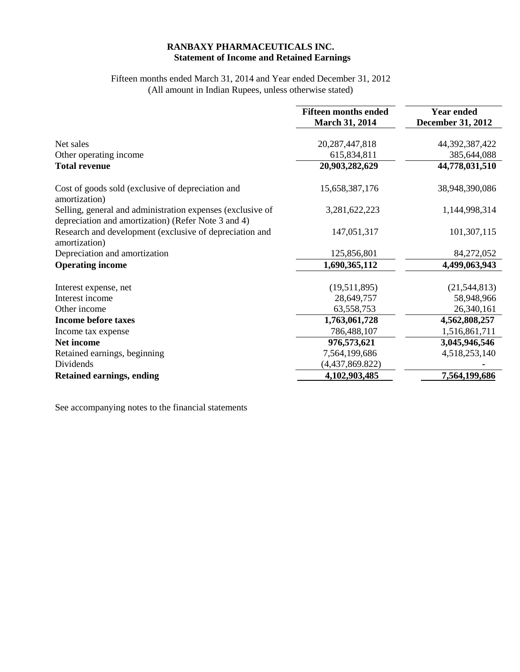# **RANBAXY PHARMACEUTICALS INC. Statement of Income and Retained Earnings**

# Fifteen months ended March 31, 2014 and Year ended December 31, 2012 (All amount in Indian Rupees, unless otherwise stated)

|                                                                                                                   | <b>Fifteen months ended</b> | <b>Year ended</b>        |
|-------------------------------------------------------------------------------------------------------------------|-----------------------------|--------------------------|
|                                                                                                                   | <b>March 31, 2014</b>       | <b>December 31, 2012</b> |
|                                                                                                                   |                             |                          |
| Net sales                                                                                                         | 20, 287, 447, 818           | 44,392,387,422           |
| Other operating income                                                                                            | 615,834,811                 | 385,644,088              |
| <b>Total revenue</b>                                                                                              | 20,903,282,629              | 44,778,031,510           |
| Cost of goods sold (exclusive of depreciation and<br>amortization)                                                | 15,658,387,176              | 38,948,390,086           |
| Selling, general and administration expenses (exclusive of<br>depreciation and amortization) (Refer Note 3 and 4) | 3,281,622,223               | 1,144,998,314            |
| Research and development (exclusive of depreciation and<br>amortization)                                          | 147,051,317                 | 101,307,115              |
| Depreciation and amortization                                                                                     | 125,856,801                 | 84,272,052               |
| <b>Operating income</b>                                                                                           | 1,690,365,112               | 4,499,063,943            |
| Interest expense, net                                                                                             | (19,511,895)                | (21, 544, 813)           |
| Interest income                                                                                                   | 28,649,757                  | 58,948,966               |
| Other income                                                                                                      | 63,558,753                  | 26,340,161               |
| <b>Income before taxes</b>                                                                                        | 1,763,061,728               | 4,562,808,257            |
| Income tax expense                                                                                                | 786,488,107                 | 1,516,861,711            |
| Net income                                                                                                        | 976,573,621                 | 3,045,946,546            |
| Retained earnings, beginning                                                                                      | 7,564,199,686               | 4,518,253,140            |
| Dividends                                                                                                         | (4,437,869.822)             |                          |
| <b>Retained earnings, ending</b>                                                                                  | 4,102,903,485               | 7,564,199,686            |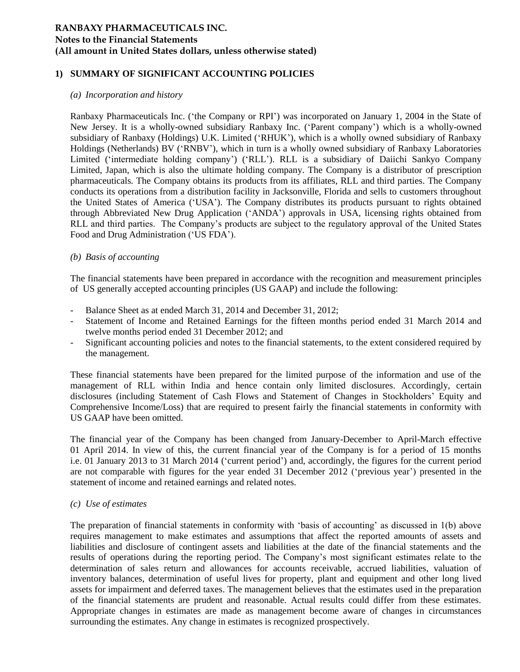#### **1) SUMMARY OF SIGNIFICANT ACCOUNTING POLICIES**

#### *(a) Incorporation and history*

Ranbaxy Pharmaceuticals Inc. ("the Company or RPI") was incorporated on January 1, 2004 in the State of New Jersey. It is a wholly-owned subsidiary Ranbaxy Inc. ("Parent company") which is a wholly-owned subsidiary of Ranbaxy (Holdings) U.K. Limited ("RHUK"), which is a wholly owned subsidiary of Ranbaxy Holdings (Netherlands) BV ("RNBV"), which in turn is a wholly owned subsidiary of Ranbaxy Laboratories Limited ("intermediate holding company") ("RLL"). RLL is a subsidiary of Daiichi Sankyo Company Limited, Japan, which is also the ultimate holding company. The Company is a distributor of prescription pharmaceuticals. The Company obtains its products from its affiliates, RLL and third parties. The Company conducts its operations from a distribution facility in Jacksonville, Florida and sells to customers throughout the United States of America ("USA"). The Company distributes its products pursuant to rights obtained through Abbreviated New Drug Application ("ANDA") approvals in USA, licensing rights obtained from RLL and third parties. The Company"s products are subject to the regulatory approval of the United States Food and Drug Administration ("US FDA").

#### *(b) Basis of accounting*

The financial statements have been prepared in accordance with the recognition and measurement principles of US generally accepted accounting principles (US GAAP) and include the following:

- Balance Sheet as at ended March 31, 2014 and December 31, 2012;
- Statement of Income and Retained Earnings for the fifteen months period ended 31 March 2014 and twelve months period ended 31 December 2012; and
- Significant accounting policies and notes to the financial statements, to the extent considered required by the management.

These financial statements have been prepared for the limited purpose of the information and use of the management of RLL within India and hence contain only limited disclosures. Accordingly, certain disclosures (including Statement of Cash Flows and Statement of Changes in Stockholders" Equity and Comprehensive Income/Loss) that are required to present fairly the financial statements in conformity with US GAAP have been omitted.

The financial year of the Company has been changed from January-December to April-March effective 01 April 2014. In view of this, the current financial year of the Company is for a period of 15 months i.e. 01 January 2013 to 31 March 2014 ("current period") and, accordingly, the figures for the current period are not comparable with figures for the year ended 31 December 2012 ("previous year") presented in the statement of income and retained earnings and related notes.

#### *(c) Use of estimates*

The preparation of financial statements in conformity with "basis of accounting" as discussed in 1(b) above requires management to make estimates and assumptions that affect the reported amounts of assets and liabilities and disclosure of contingent assets and liabilities at the date of the financial statements and the results of operations during the reporting period. The Company"s most significant estimates relate to the determination of sales return and allowances for accounts receivable, accrued liabilities, valuation of inventory balances, determination of useful lives for property, plant and equipment and other long lived assets for impairment and deferred taxes. The management believes that the estimates used in the preparation of the financial statements are prudent and reasonable. Actual results could differ from these estimates. Appropriate changes in estimates are made as management become aware of changes in circumstances surrounding the estimates. Any change in estimates is recognized prospectively.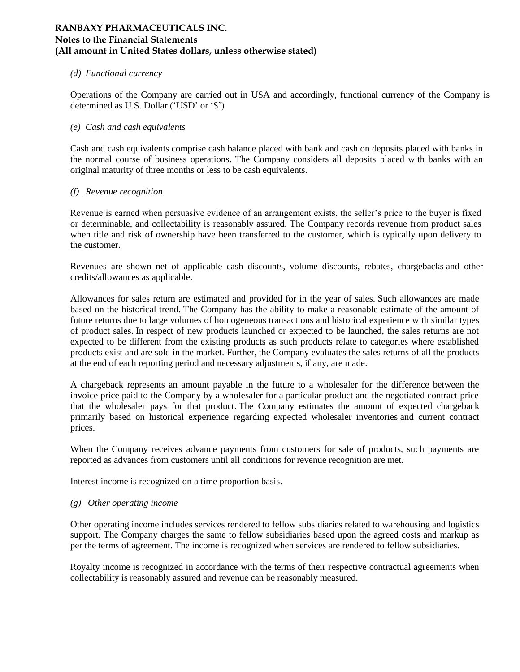#### *(d) Functional currency*

Operations of the Company are carried out in USA and accordingly, functional currency of the Company is determined as U.S. Dollar ('USD' or '\$')

#### *(e) Cash and cash equivalents*

Cash and cash equivalents comprise cash balance placed with bank and cash on deposits placed with banks in the normal course of business operations. The Company considers all deposits placed with banks with an original maturity of three months or less to be cash equivalents.

#### *(f) Revenue recognition*

Revenue is earned when persuasive evidence of an arrangement exists, the seller"s price to the buyer is fixed or determinable, and collectability is reasonably assured. The Company records revenue from product sales when title and risk of ownership have been transferred to the customer, which is typically upon delivery to the customer.

Revenues are shown net of applicable cash discounts, volume discounts, rebates, chargebacks and other credits/allowances as applicable.

Allowances for sales return are estimated and provided for in the year of sales. Such allowances are made based on the historical trend. The Company has the ability to make a reasonable estimate of the amount of future returns due to large volumes of homogeneous transactions and historical experience with similar types of product sales. In respect of new products launched or expected to be launched, the sales returns are not expected to be different from the existing products as such products relate to categories where established products exist and are sold in the market. Further, the Company evaluates the sales returns of all the products at the end of each reporting period and necessary adjustments, if any, are made.

A chargeback represents an amount payable in the future to a wholesaler for the difference between the invoice price paid to the Company by a wholesaler for a particular product and the negotiated contract price that the wholesaler pays for that product. The Company estimates the amount of expected chargeback primarily based on historical experience regarding expected wholesaler inventories and current contract prices.

When the Company receives advance payments from customers for sale of products, such payments are reported as advances from customers until all conditions for revenue recognition are met.

Interest income is recognized on a time proportion basis.

#### *(g) Other operating income*

Other operating income includes services rendered to fellow subsidiaries related to warehousing and logistics support. The Company charges the same to fellow subsidiaries based upon the agreed costs and markup as per the terms of agreement. The income is recognized when services are rendered to fellow subsidiaries.

Royalty income is recognized in accordance with the terms of their respective contractual agreements when collectability is reasonably assured and revenue can be reasonably measured.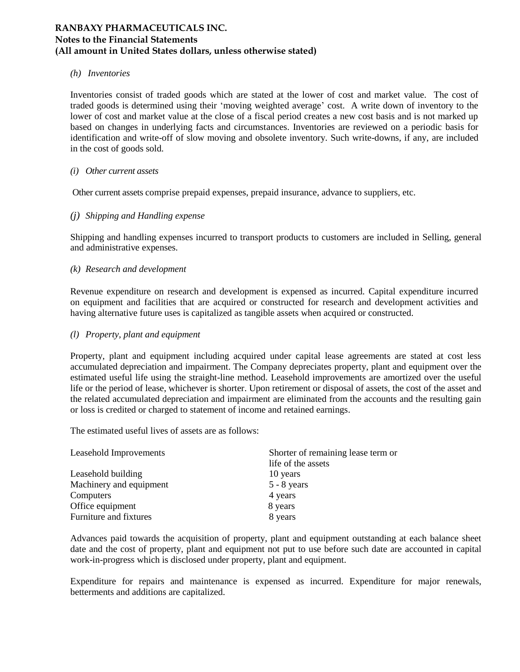#### *(h) Inventories*

Inventories consist of traded goods which are stated at the lower of cost and market value. The cost of traded goods is determined using their "moving weighted average" cost. A write down of inventory to the lower of cost and market value at the close of a fiscal period creates a new cost basis and is not marked up based on changes in underlying facts and circumstances. Inventories are reviewed on a periodic basis for identification and write-off of slow moving and obsolete inventory. Such write-downs, if any, are included in the cost of goods sold.

#### *(i) Other current assets*

Other current assets comprise prepaid expenses, prepaid insurance, advance to suppliers, etc.

#### *(j) Shipping and Handling expense*

Shipping and handling expenses incurred to transport products to customers are included in Selling, general and administrative expenses.

#### *(k) Research and development*

Revenue expenditure on research and development is expensed as incurred. Capital expenditure incurred on equipment and facilities that are acquired or constructed for research and development activities and having alternative future uses is capitalized as tangible assets when acquired or constructed.

#### *(l) Property, plant and equipment*

Property, plant and equipment including acquired under capital lease agreements are stated at cost less accumulated depreciation and impairment. The Company depreciates property, plant and equipment over the estimated useful life using the straight-line method. Leasehold improvements are amortized over the useful life or the period of lease, whichever is shorter. Upon retirement or disposal of assets, the cost of the asset and the related accumulated depreciation and impairment are eliminated from the accounts and the resulting gain or loss is credited or charged to statement of income and retained earnings.

The estimated useful lives of assets are as follows:

| Leasehold Improvements  | Shorter of remaining lease term or |
|-------------------------|------------------------------------|
|                         | life of the assets                 |
| Leasehold building      | 10 years                           |
| Machinery and equipment | $5 - 8$ years                      |
| Computers               | 4 years                            |
| Office equipment        | 8 years                            |
| Furniture and fixtures  | 8 years                            |

Advances paid towards the acquisition of property, plant and equipment outstanding at each balance sheet date and the cost of property, plant and equipment not put to use before such date are accounted in capital work-in-progress which is disclosed under property, plant and equipment.

Expenditure for repairs and maintenance is expensed as incurred. Expenditure for major renewals, betterments and additions are capitalized.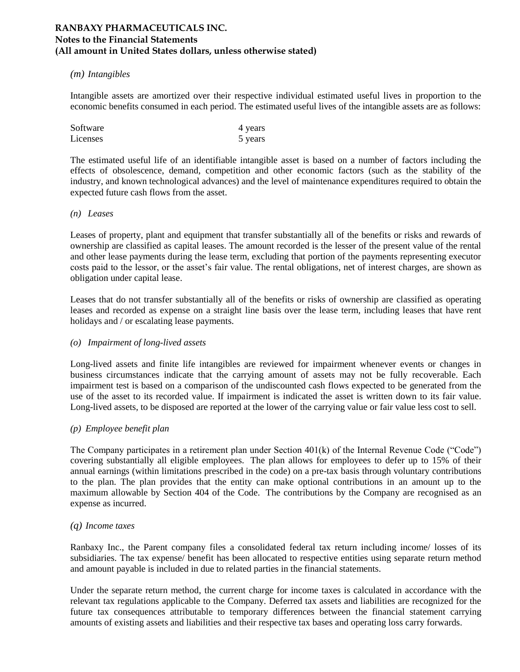#### *(m) Intangibles*

Intangible assets are amortized over their respective individual estimated useful lives in proportion to the economic benefits consumed in each period. The estimated useful lives of the intangible assets are as follows:

| Software | 4 years |
|----------|---------|
| Licenses | 5 years |

The estimated useful life of an identifiable intangible asset is based on a number of factors including the effects of obsolescence, demand, competition and other economic factors (such as the stability of the industry, and known technological advances) and the level of maintenance expenditures required to obtain the expected future cash flows from the asset.

#### *(n) Leases*

Leases of property, plant and equipment that transfer substantially all of the benefits or risks and rewards of ownership are classified as capital leases. The amount recorded is the lesser of the present value of the rental and other lease payments during the lease term, excluding that portion of the payments representing executor costs paid to the lessor, or the asset"s fair value. The rental obligations, net of interest charges, are shown as obligation under capital lease.

Leases that do not transfer substantially all of the benefits or risks of ownership are classified as operating leases and recorded as expense on a straight line basis over the lease term, including leases that have rent holidays and / or escalating lease payments.

#### *(o) Impairment of long-lived assets*

Long-lived assets and finite life intangibles are reviewed for impairment whenever events or changes in business circumstances indicate that the carrying amount of assets may not be fully recoverable. Each impairment test is based on a comparison of the undiscounted cash flows expected to be generated from the use of the asset to its recorded value. If impairment is indicated the asset is written down to its fair value. Long-lived assets, to be disposed are reported at the lower of the carrying value or fair value less cost to sell.

#### *(p) Employee benefit plan*

The Company participates in a retirement plan under Section 401(k) of the Internal Revenue Code ("Code") covering substantially all eligible employees. The plan allows for employees to defer up to 15% of their annual earnings (within limitations prescribed in the code) on a pre-tax basis through voluntary contributions to the plan. The plan provides that the entity can make optional contributions in an amount up to the maximum allowable by Section 404 of the Code. The contributions by the Company are recognised as an expense as incurred.

#### *(q) Income taxes*

Ranbaxy Inc., the Parent company files a consolidated federal tax return including income/ losses of its subsidiaries. The tax expense/ benefit has been allocated to respective entities using separate return method and amount payable is included in due to related parties in the financial statements.

Under the separate return method, the current charge for income taxes is calculated in accordance with the relevant tax regulations applicable to the Company. Deferred tax assets and liabilities are recognized for the future tax consequences attributable to temporary differences between the financial statement carrying amounts of existing assets and liabilities and their respective tax bases and operating loss carry forwards.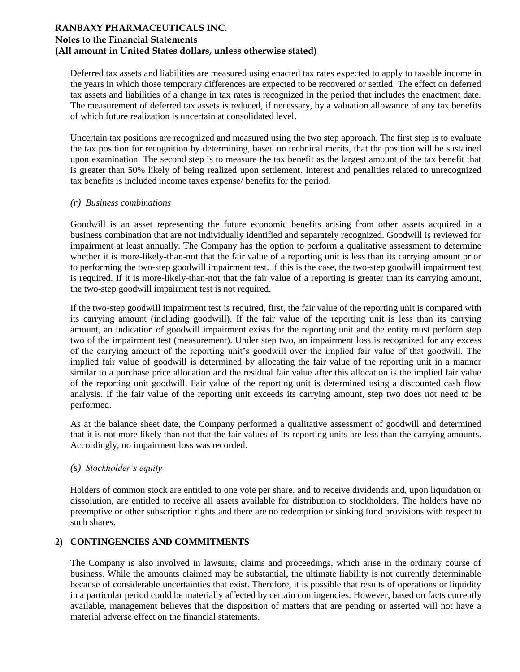Deferred tax assets and liabilities are measured using enacted tax rates expected to apply to taxable income in the years in which those temporary differences are expected to be recovered or settled. The effect on deferred tax assets and liabilities of a change in tax rates is recognized in the period that includes the enactment date. The measurement of deferred tax assets is reduced, if necessary, by a valuation allowance of any tax benefits of which future realization is uncertain at consolidated level.

Uncertain tax positions are recognized and measured using the two step approach. The first step is to evaluate the tax position for recognition by determining, based on technical merits, that the position will be sustained upon examination. The second step is to measure the tax benefit as the largest amount of the tax benefit that is greater than 50% likely of being realized upon settlement. Interest and penalities related to unrecognized tax benefits is included income taxes expense/ benefits for the period.

#### *(r) Business combinations*

Goodwill is an asset representing the future economic benefits arising from other assets acquired in a business combination that are not individually identified and separately recognized. Goodwill is reviewed for impairment at least annually. The Company has the option to perform a qualitative assessment to determine whether it is more-likely-than-not that the fair value of a reporting unit is less than its carrying amount prior to performing the two-step goodwill impairment test. If this is the case, the two-step goodwill impairment test is required. If it is more-likely-than-not that the fair value of a reporting is greater than its carrying amount, the two-step goodwill impairment test is not required.

If the two-step goodwill impairment test is required, first, the fair value of the reporting unit is compared with its carrying amount (including goodwill). If the fair value of the reporting unit is less than its carrying amount, an indication of goodwill impairment exists for the reporting unit and the entity must perform step two of the impairment test (measurement). Under step two, an impairment loss is recognized for any excess of the carrying amount of the reporting unit"s goodwill over the implied fair value of that goodwill. The implied fair value of goodwill is determined by allocating the fair value of the reporting unit in a manner similar to a purchase price allocation and the residual fair value after this allocation is the implied fair value of the reporting unit goodwill. Fair value of the reporting unit is determined using a discounted cash flow analysis. If the fair value of the reporting unit exceeds its carrying amount, step two does not need to be performed.

As at the balance sheet date, the Company performed a qualitative assessment of goodwill and determined that it is not more likely than not that the fair values of its reporting units are less than the carrying amounts. Accordingly, no impairment loss was recorded.

#### *(s) Stockholder's equity*

Holders of common stock are entitled to one vote per share, and to receive dividends and, upon liquidation or dissolution, are entitled to receive all assets available for distribution to stockholders. The holders have no preemptive or other subscription rights and there are no redemption or sinking fund provisions with respect to such shares.

#### **2) CONTINGENCIES AND COMMITMENTS**

The Company is also involved in lawsuits, claims and proceedings, which arise in the ordinary course of business. While the amounts claimed may be substantial, the ultimate liability is not currently determinable because of considerable uncertainties that exist. Therefore, it is possible that results of operations or liquidity in a particular period could be materially affected by certain contingencies. However, based on facts currently available, management believes that the disposition of matters that are pending or asserted will not have a material adverse effect on the financial statements.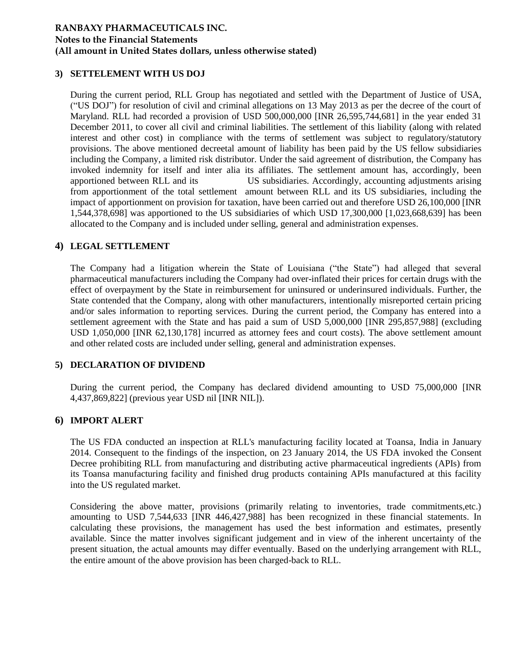#### **3) SETTELEMENT WITH US DOJ**

During the current period, RLL Group has negotiated and settled with the Department of Justice of USA, ("US DOJ") for resolution of civil and criminal allegations on 13 May 2013 as per the decree of the court of Maryland. RLL had recorded a provision of USD 500,000,000 [INR 26,595,744,681] in the year ended 31 December 2011, to cover all civil and criminal liabilities. The settlement of this liability (along with related interest and other cost) in compliance with the terms of settlement was subject to regulatory/statutory provisions. The above mentioned decreetal amount of liability has been paid by the US fellow subsidiaries including the Company, a limited risk distributor. Under the said agreement of distribution, the Company has invoked indemnity for itself and inter alia its affiliates. The settlement amount has, accordingly, been apportioned between RLL and its US subsidiaries. Accordingly, accounting adjustments arising from apportionment of the total settlement amount between RLL and its US subsidiaries, including the impact of apportionment on provision for taxation, have been carried out and therefore USD 26,100,000 [INR 1,544,378,698] was apportioned to the US subsidiaries of which USD 17,300,000 [1,023,668,639] has been allocated to the Company and is included under selling, general and administration expenses.

#### **4) LEGAL SETTLEMENT**

The Company had a litigation wherein the State of Louisiana ("the State") had alleged that several pharmaceutical manufacturers including the Company had over-inflated their prices for certain drugs with the effect of overpayment by the State in reimbursement for uninsured or underinsured individuals. Further, the State contended that the Company, along with other manufacturers, intentionally misreported certain pricing and/or sales information to reporting services. During the current period, the Company has entered into a settlement agreement with the State and has paid a sum of USD 5,000,000 [INR 295,857,988] (excluding USD 1,050,000 [INR 62,130,178] incurred as attorney fees and court costs). The above settlement amount and other related costs are included under selling, general and administration expenses.

#### **5) DECLARATION OF DIVIDEND**

During the current period, the Company has declared dividend amounting to USD 75,000,000 [INR 4,437,869,822] (previous year USD nil [INR NIL]).

#### **6) IMPORT ALERT**

The US FDA conducted an inspection at RLL's manufacturing facility located at Toansa, India in January 2014. Consequent to the findings of the inspection, on 23 January 2014, the US FDA invoked the Consent Decree prohibiting RLL from manufacturing and distributing active pharmaceutical ingredients (APIs) from its Toansa manufacturing facility and finished drug products containing APIs manufactured at this facility into the US regulated market.

Considering the above matter, provisions (primarily relating to inventories, trade commitments,etc.) amounting to USD 7,544,633 [INR 446,427,988] has been recognized in these financial statements. In calculating these provisions, the management has used the best information and estimates, presently available. Since the matter involves significant judgement and in view of the inherent uncertainty of the present situation, the actual amounts may differ eventually. Based on the underlying arrangement with RLL, the entire amount of the above provision has been charged-back to RLL.